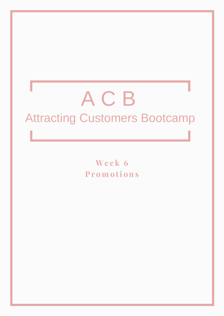# ACB **Attracting Customers Bootcamp**

Week 6 **Promotions**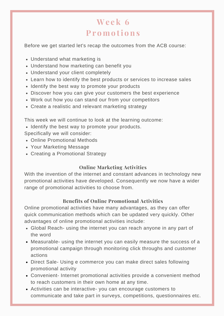# **We e k 6 Pr omo ti ons**

Before we get started let's recap the outcomes from the ACB course:

- Understand what marketing is
- Understand how marketing can benefit you
- Understand your client completely
- Learn how to identify the best products or services to increase sales
- Identify the best way to promote your products
- Discover how you can give your customers the best experience
- Work out how you can stand our from your competitors
- Create a realistic and relevant marketing strategy

This week we will continue to look at the learning outcome:

• Identify the best way to promote your products.

Specifically we will consider:

- Online Promotional Methods
- Your Marketing Message
- Creating a Promotional Strategy

# **Online Marketing Activities**

With the invention of the internet and constant advances in technology new promotional activities have developed. Consequently we now have a wider range of promotional activities to choose from.

# **Benefits of Online Promotional Activities**

Online promotional activities have many advantages, as they can offer quick communication methods which can be updated very quickly. Other advantages of online promotional activities include:

- Global Reach- using the internet you can reach anyone in any part of the word
- Measurable- using the internet you can easily measure the success of a promotional campaign through monitoring click throughs and customer actions
- Direct Sale- Using e commerce you can make direct sales following promotional activity
- Convenient- Internet promotional activities provide a convenient method to reach customers in their own home at any time.
- Activities can be interactive- you can encourage customers to communicate and take part in surveys, competitions, questionnaires etc.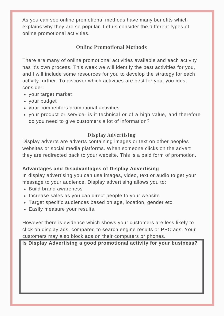As you can see online promotional methods have many benefits which explains why they are so popular. Let us consider the different types of online promotional activities.

# **Online Promotional Methods**

There are many of online promotional activities available and each activity has it's own process. This week we will identify the best activities for you, and I will include some resources for you to develop the strategy for each activity further. To discover which activities are best for you, you must consider:

- your target market
- your budget
- your competitors promotional activities
- your product or service- is it technical or of a high value, and therefore do you need to give customers a lot of information?

#### **Display Advertising**

Display adverts are adverts containing images or text on other peoples websites or social media platforms. When someone clicks on the advert they are redirected back to your website. This is a paid form of promotion.

#### **Advantages and Disadvantages of Display Advertising**

In display advertising you can use images, video, text or audio to get your message to your audience. Display advertising allows you to:

- Build brand awareness
- Increase sales as you can direct people to your website
- Target specific audiences based on age, location, gender etc.
- Easily measure your results.

However there is evidence which shows your customers are less likely to click on display ads, compared to search engine results or PPC ads. Your customers may also block ads on their computers or phones.

**Is Display Advertising a good promotional activity for your business?**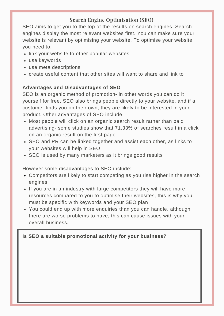# **Search Engine Optimisation (SEO)**

SEO aims to get you to the top of the results on search engines. Search engines display the most relevant websites first. You can make sure your website is relevant by optimising your website. To optimise your website you need to:

- link your website to other popular websites
- use keywords
- use meta descriptions
- create useful content that other sites will want to share and link to

#### **Advantages and Disadvantages of SEO**

SEO is an organic method of promotion- in other words you can do it yourself for free. SEO also brings people directly to your website, and if a customer finds you on their own, they are likely to be interested in your product. Other advantages of SEO include

- Most people will click on an organic search result rather than paid advertising- some studies show that 71.33% of searches result in a click on an organic result on the first page
- SEO and PR can be linked together and assist each other, as links to your websites will help in SEO
- SEO is used by many marketers as it brings good results

However some disadvantages to SEO include:

- Competitors are likely to start competing as you rise higher in the search engines
- If you are in an industry with large competitors they will have more resources compared to you to optimise their websites, this is why you must be specific with keywords and your SEO plan
- You could end up with more enquiries than you can handle, although there are worse problems to have, this can cause issues with your overall business.

#### **Is SEO a suitable promotional activity for your business?**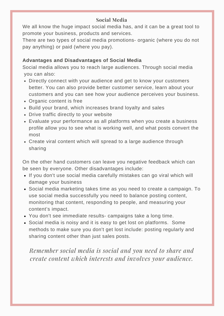# **Social Media**

We all know the huge impact social media has, and it can be a great tool to promote your business, products and services.

There are two types of social media promotions- organic (where you do not pay anything) or paid (where you pay).

# **Advantages and Disadvantages of Social Media**

Social media allows you to reach large audiences. Through social media you can also:

- Directly connect with your audience and get to know your customers better. You can also provide better customer service, learn about your customers and you can see how your audience perceives your business.
- Organic content is free
- Build your brand, which increases brand loyalty and sales
- Drive traffic directly to your website
- Evaluate your performance as all platforms when you create a business profile allow you to see what is working well, and what posts convert the most
- Create viral content which will spread to a large audience through sharing

On the other hand customers can leave you negative feedback which can be seen by everyone. Other disadvantages include:

- If you don't use social media carefully mistakes can go viral which will damage your business
- Social media marketing takes time as you need to create a campaign. To use social media successfully you need to balance posting content, monitoring that content, responding to people, and measuring your content's impact.
- You don't see immediate results- campaigns take a long time.
- Social media is noisy and it is easy to get lost on platforms. Some methods to make sure you don't get lost include: posting regularly and sharing content other than just sales posts.

*Remember social media is social and you need to share and create content which interests and involves your audience.*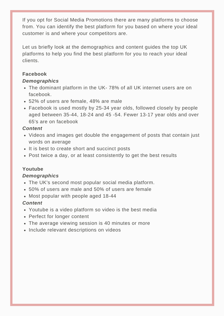If you opt for Social Media Promotions there are many platforms to choose from. You can identify the best platform for you based on where your ideal customer is and where your competitors are.

Let us briefly look at the demographics and content guides the top UK platforms to help you find the best platform for you to reach your ideal clients.

#### **Facebook**

#### *Demographics*

- The dominant platform in the UK- 78% of all UK internet users are on facebook.
- 52% of users are female, 48% are male
- Facebook is used mostly by 25-34 year olds, followed closely by people aged between 35-44, 18-24 and 45 -54. Fewer 13-17 year olds and over 65's are on facebook

#### *Content*

- Videos and images get double the engagement of posts that contain just words on average
- It is best to create short and succinct posts
- Post twice a day, or at least consistently to get the best results

# **Youtube**

#### *Demographics*

- The UK's second most popular social media platform.
- 50% of users are male and 50% of users are female
- Most popular with people aged 18-44

#### *Content*

- Youtube is a video platform so video is the best media
- Perfect for longer content
- The average viewing session is 40 minutes or more
- Include relevant descriptions on videos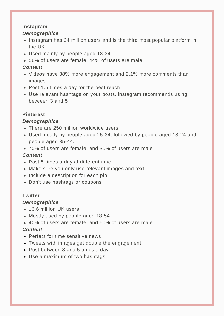#### **Instagram**

#### *Demographics*

- Instagram has 24 million users and is the third most popular platform in the UK
- Used mainly by people aged 18-34
- 56% of users are female, 44% of users are male

#### *Content*

- Videos have 38% more engagement and 2.1% more comments than images
- Post 1.5 times a day for the best reach
- Use relevant hashtags on your posts, instagram recommends using between 3 and 5

#### **Pinterest**

#### *Demographics*

- There are 250 million worldwide users
- Used mostly by people aged 25-34, followed by people aged 18-24 and people aged 35-44.
- 70% of users are female, and 30% of users are male

#### *Content*

- Post 5 times a day at different time
- Make sure you only use relevant images and text
- Include a description for each pin
- Don't use hashtags or coupons

#### **Twitter**

#### *Demographics*

- 13.6 million UK users
- Mostly used by people aged 18-54
- 40% of users are female, and 60% of users are male

#### *Content*

- Perfect for time sensitive news
- Tweets with images get double the engagement
- Post between 3 and 5 times a day
- Use a maximum of two hashtags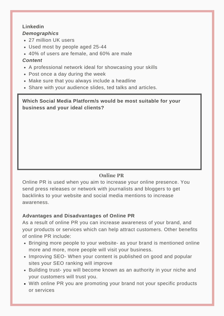#### **Linkedin**

#### *Demographics*

- 27 million UK users
- Used most by people aged 25-44
- 40% of users are female, and 60% are male

#### *Content*

- A professional network ideal for showcasing your skills
- Post once a day during the week
- Make sure that you always include a headline
- Share with your audience slides, ted talks and articles.

# **Which Social Media Platform/s would be most suitable for your business and your ideal clients?**

# **Online PR**

Online PR is used when you aim to increase your online presence. You send press releases or network with journalists and bloggers to get backlinks to your website and social media mentions to increase awareness.

# **Advantages and Disadvantages of Online PR**

As a result of online PR you can increase awareness of your brand, and your products or services which can help attract customers. Other benefits of online PR include:

- Bringing more people to your website- as your brand is mentioned online more and more, more people will visit your business.
- Improving SEO- When your content is published on good and popular sites your SEO ranking will improve
- Building trust- you will become known as an authority in your niche and your customers will trust you.
- With online PR you are promoting your brand not your specific products or services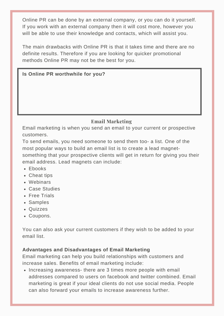Online PR can be done by an external company, or you can do it yourself. If you work with an external company then it will cost more, however you will be able to use their knowledge and contacts, which will assist you.

The main drawbacks with Online PR is that it takes time and there are no definite results. Therefore if you are looking for quicker promotional methods Online PR may not be the best for you.

#### **Is Online PR worthwhile for you?**

# **Email Marketing**

Email marketing is when you send an email to your current or prospective customers.

To send emails, you need someone to send them too- a list. One of the most popular ways to build an email list is to create a lead magnetsomething that your prospective clients will get in return for giving you their email address. Lead magnets can include:

- Ebooks
- Cheat tips
- Webinars
- Case Studies
- Free Trials
- Samples
- Quizzes
- Coupons.

You can also ask your current customers if they wish to be added to your email list.

#### **Advantages and Disadvantages of Email Marketing**

Email marketing can help you build relationships with customers and increase sales. Benefits of email marketing include:

• Increasing awareness- there are 3 times more people with email addresses compared to users on facebook and twitter combined. Email marketing is great if your ideal clients do not use social media. People can also forward your emails to increase awareness further.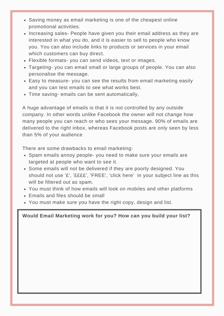- Saving money as email marketing is one of the cheapest online promotional activities.
- Increasing sales- People have given you their email address as they are interested in what you do, and it is easier to sell to people who know you. You can also include links to products or services in your email which customers can buy direct.
- Flexible formats- you can send videos, text or images.
- Targeting- you can email small or large groups of people. You can also personalise the message.
- Easy to measure- you can see the results from email marketing easily and you can test emails to see what works best.
- Time saving- emails can be sent automatically,

A huge advantage of emails is that it is not controlled by any outside company. In other words unlike Facebook the owner will not change how many people you can reach or who sees your message. 90% of emails are delivered to the right inbox, whereas Facebook posts are only seen by less than 5% of your audience

There are some drawbacks to email marketing:

- Spam emails annoy people- you need to make sure your emails are targeted at people who want to see it.
- Some emails will not be delivered if they are poorly designed. You should not use '£', '££££', 'FREE', 'click here' in your subject line as this will be filtered out as spam.
- You must think of how emails will look on mobiles and other platforms
- Emails and files should be small
- You must make sure you have the right copy, design and list.

**Would Email Marketing work for you? How can you build your list?**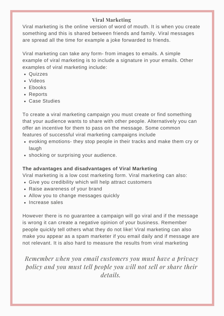# **Viral Marketing**

Viral marketing is the online version of word of mouth. It is when you create something and this is shared between friends and family. Viral messages are spread all the time for example a joke forwarded to friends.

Viral marketing can take any form- from images to emails. A simple example of viral marketing is to include a signature in your emails. Other examples of viral marketing include:

- Quizzes
- Videos
- Ebooks
- Reports
- Case Studies

To create a viral marketing campaign you must create or find something that your audience wants to share with other people. Alternatively you can offer an incentive for them to pass on the message. Some common features of successful viral marketing campaigns include

- evoking emotions- they stop people in their tracks and make them cry or laugh
- shocking or surprising your audience.

#### **The advantages and disadvantages of Viral Marketing**

Viral marketing is a low cost marketing form. Viral marketing can also:

- Give you credibility which will help attract customers
- Raise awareness of your brand
- Allow you to change messages quickly
- Increase sales

However there is no guarantee a campaign will go viral and if the message is wrong it can create a negative opinion of your business. Remember people quickly tell others what they do not like! Viral marketing can also make you appear as a spam marketer if you email daily and if message are not relevant. It is also hard to measure the results from viral marketing

*Remember when you email customers you must have a privacy policy and you must tell people you will not sell or share their details.*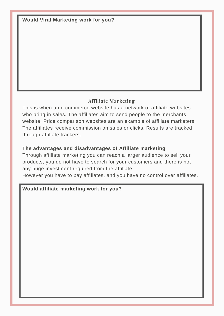**Would Viral Marketing work for you?**

# **Affiliate Marketing**

This is when an e commerce website has a network of affiliate websites who bring in sales. The affiliates aim to send people to the merchants website. Price comparison websites are an example of affiliate marketers. The affiliates receive commission on sales or clicks. Results are tracked through affiliate trackers.

# **The advantages and disadvantages of Affiliate marketing**

Through affiliate marketing you can reach a larger audience to sell your products, you do not have to search for your customers and there is not any huge investment required from the affiliate.

However you have to pay affiliates, and you have no control over affiliates.

#### **Would affiliate marketing work for you?**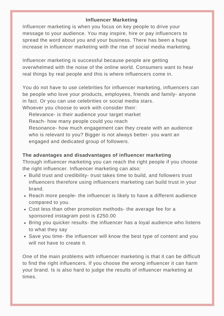#### **Influencer Marketing**

Influencer marketing is when you focus on key people to drive your message to your audience. You may inspire, hire or pay influencers to spread the word about you and your business. There has been a huge increase in influencer marketing with the rise of social media marketing.

Influencer marketing is successful because people are getting overwhelmed with the noise of the online world. Consumers want to hear real things by real people and this is where influencers come in.

You do not have to use celebrities for influencer marketing, influencers can be people who love your products, employees, friends and family- anyone in fact. Or you can use celebrities or social media stars. Whoever you choose to work with consider their:

Relevance- is their audience your target market Reach- how many people could you reach Resonance- how much engagement can they create with an audience who is relevant to you? Bigger is not always better- you want an engaged and dedicated group of followers.

#### **The advantages and disadvantages of influencer marketing**

Through influencer marketing you can reach the right people if you choose the right influencer. Influencer marketing can also:

- Build trust and credibility- trust takes time to build, and followers trust influencers therefore using influencers marketing can build trust in your brand.
- Reach more people- the influencer is likely to have a different audience compared to you.
- Cost less than other promotion methods- the average fee for a sponsored instagram post is £250.00
- Bring you quicker results- the influencer has a loyal audience who listens to what they say
- Save you time- the influencer will know the best type of content and you will not have to create it.

One of the main problems with influencer marketing is that it can be difficult to find the right influencers. If you choose the wrong influencer it can harm your brand. Is is also hard to judge the results of influencer marketing at times.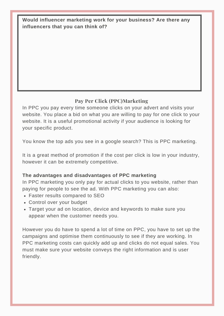# **Would influencer marketing work for your business? Are there any influencers that you can think of?**

# **Pay Per Click (PPC)Marketing**

In PPC you pay every time someone clicks on your advert and visits your website. You place a bid on what you are willing to pay for one click to your website. It is a useful promotional activity if your audience is looking for your specific product.

You know the top ads you see in a google search? This is PPC marketing.

It is a great method of promotion if the cost per click is low in your industry, however it can be extremely competitive.

#### **The advantages and disadvantages of PPC marketing**

In PPC marketing you only pay for actual clicks to you website, rather than paying for people to see the ad. With PPC marketing you can also:

- Faster results compared to SEO
- Control over your budget
- Target your ad on location, device and keywords to make sure you appear when the customer needs you.

However you do have to spend a lot of time on PPC, you have to set up the campaigns and optimise them continuously to see if they are working. In PPC marketing costs can quickly add up and clicks do not equal sales. You must make sure your website conveys the right information and is user friendly.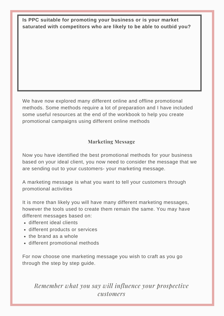**Is PPC suitable for promoting your business or is your market saturated with competitors who are likely to be able to outbid you?**

We have now explored many different online and offline promotional methods. Some methods require a lot of preparation and I have included some useful resources at the end of the workbook to help you create promotional campaigns using different online methods

# **Marketing Message**

Now you have identified the best promotional methods for your business based on your ideal client, you now need to consider the message that we are sending out to your customers- your marketing message.

A marketing message is what you want to tell your customers through promotional activities

It is more than likely you will have many different marketing messages, however the tools used to create them remain the same. You may have different messages based on:

- different ideal clients
- different products or services
- the brand as a whole
- different promotional methods

For now choose one marketing message you wish to craft as you go through the step by step guide.

*Remember what you say will influence your prospective customers*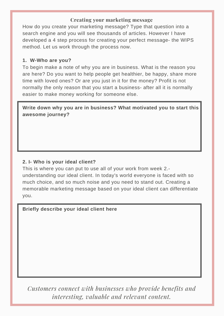#### **Creating your marketing message**

How do you create your marketing message? Type that question into a search engine and you will see thousands of articles. However I have developed a 4 step process for creating your perfect message- the WIPS method. Let us work through the process now.

#### **1. W-Who are you?**

To begin make a note of why you are in business. What is the reason you are here? Do you want to help people get healthier, be happy, share more time with loved ones? Or are you just in it for the money? Profit is not normally the only reason that you start a business- after all it is normally easier to make money working for someone else.

**Write down why you are in business? What motivated you to start this awesome journey?**

#### **2. I- Who is your ideal client?**

This is where you can put to use all of your work from week 2. understanding our ideal client. In today's world everyone is faced with so much choice, and so much noise and you need to stand out. Creating a memorable marketing message based on your ideal client can differentiate you.

**Briefly describe your ideal client here**

*Customers connect with businesses who provide benefits and interesting, valuable and relevant content.*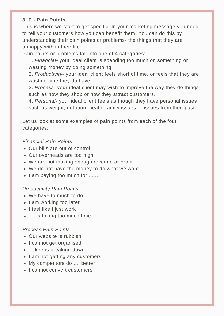#### **3. P - Pain Points**

This is where we start to get specific. In your marketing message you need to tell your customers how you can benefit them. You can do this by understanding their pain points or problems- the things that they are unhappy with in their life:

Pain points or problems fall into one of 4 categories:

1. *Financial-* your ideal client is spending too much on something or wasting money by doing something

2. *Productivity*- your ideal client feels short of time, or feels that they are wasting time they do have

3. *Process*- your ideal client may wish to improve the way they do thingssuch as how they shop or how they attract customers.

4. *Personal-* your ideal client feels as though they have personal issues such as weight, nutrition, heath, family issues or issues from their past

Let us look at some examples of pain points from each of the four categories:

#### *Financial Pain Points*

- Our bills are out of control
- Our overheads are too high
- We are not making enough revenue or profit
- We do not have the money to do what we want
- I am paying too much for .......

#### *Productivity Pain Points*

- We have to much to do
- I am working too later
- I feel like I just work
- .... is taking too much time

#### *Process Pain Points*

- Our website is rubbish
- I cannot get organised
- ... keeps breaking down
- I am not getting any customers
- My competitors do .... better
- I cannot convert customers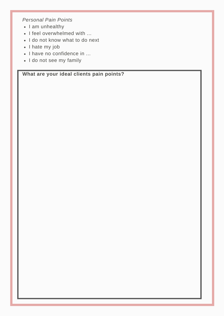*Personal Pain Points*

- I am unhealthy
- I feel overwhelmed with ...
- I do not know what to do next
- I hate my job
- I have no confidence in ...
- I do not see my family

**What are your ideal clients pain points?**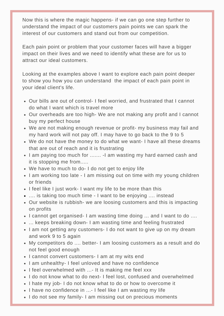Now this is where the magic happens- if we can go one step further to understand the impact of our customers pain points we can spark the interest of our customers and stand out from our competition.

Each pain point or problem that your customer faces will have a bigger impact on their lives and we need to identify what these are for us to attract our ideal customers.

Looking at the examples above I want to explore each pain point deeper to show you how you can understand the impact of each pain point in your ideal client's life.

- Our bills are out of control- I feel worried, and frustrated that I cannot do what I want which is travel more
- Our overheads are too high- We are not making any profit and I cannot buy my perfect house
- We are not making enough revenue or profit- my business may fail and my hard work will not pay off. I may have to go back to the 9 to 5
- We do not have the money to do what we want- I have all these dreams that are out of reach and it is frustrating
- I am paying too much for ....... -I am wasting my hard earned cash and it is stopping me from.....
- We have to much to do- I do not get to enjoy life
- I am working too late I am missing out on time with my young children or friends
- I feel like I just work- I want my life to be more than this
- .... is taking too much time I want to be enjoying .... instead
- Our website is rubbish- we are loosing customers and this is impacting on profits
- I cannot get organised- I am wasting time doing ... and I want to do ....
- ... keeps breaking down- I am wasting time and feeling frustrated
- I am not getting any customers- I do not want to give up on my dream and work 9 to 5 again
- My competitors do .... better- I am loosing customers as a result and do not feel good enough
- I cannot convert customers- I am at my wits end
- I am unhealthy- I feel unloved and have no confidence
- I feel overwhelmed with ...- It is making me feel xxx
- I do not know what to do next- I feel lost, confused and overwhelmed
- I hate my job- I do not know what to do or how to overcome it
- I have no confidence in ...- I feel like I am wasting my life
- I do not see my family- I am missing out on precious moments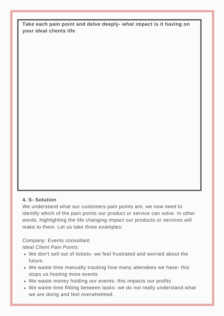**Take each pain point and delve deeply- what impact is it having on your ideal clients life**

#### **4. S- Solution**

We understand what our customers pain points are, we now need to identify which of the pain points our product or service can solve. In other words, highlighting the life changing impact our products or services will make to them. Let us take three examples:

*Company:* Events consultant *Ideal Client Pain Points:*

- We don't sell out of tickets- we feel frustrated and worried about the future.
- We waste time manually tracking how many attendees we have- this stops us hosting more events
- We waste money holding our events- this impacts our profits
- We waste time flitting between tasks- we do not really understand what we are doing and feel overwhelmed.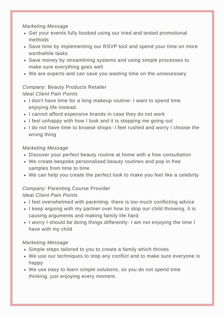#### *Marketing Message*

- Get your events fully booked using our tried and tested promotional methods
- Save time by implementing our RSVP tool and spend your time on more worthwhile tasks
- Save money by streamlining systems and using simple processes to make sure everything goes well
- We are experts and can save you wasting time on the unnecessary

# *Company*: Beauty Products Retailer

# *Ideal Client Pain Points*

- I don't have time for a long makeup routine- I want to spend time enjoying life instead.
- I cannot afford expensive brands in case they do not work
- I feel unhappy with how I look and it is stopping me going out
- I do not have time to browse shops- I feel rushed and worry I choose the wrong thing

#### *Marketing Message*

- Discover your perfect beauty routine at home with a free consultation
- We create bespoke personalised beauty routines and pop in free samples from time to time
- We can help you create the perfect look to make you feel like a celebrity

# *Company:* Parenting Course Provider

# *Ideal Client Pain Points*

- I feel overwhelmed with parenting- there is too much conflicting advice
- I keep arguing with my partner over how to stop our child throwing, it is causing arguments and making family life hard
- I worry I should be doing things differently- I am not enjoying the time I have with my child

# *Marketing Message*

- Simple steps tailored to you to create a family which thrives
- We use our techniques to stop any conflict and to make sure everyone is happy
- We use easy to learn simple solutions, so you do not spend time thinking, just enjoying every moment.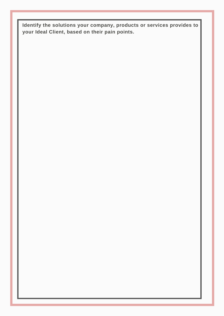**Identify the solutions your company, products or services provides to your Ideal Client, based on their pain points.**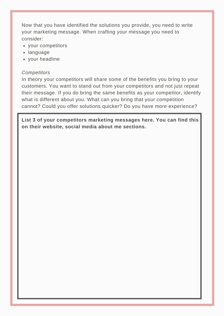Now that you have identified the solutions you provide, you need to write your marketing message. When crafting your message you need to consider:

- your competitors
- language
- your headline

#### *Competitors*

In theory your competitors will share some of the benefits you bring to your customers. You want to stand out from your competitors and not just repeat their message. If you do bring the same benefits as your competitor, identify what is different about you. What can you bring that your competition cannot? Could you offer solutions quicker? Do you have more experience?

**List 3 of your competitors marketing messages here. You can find this on their website, social media about me sections.**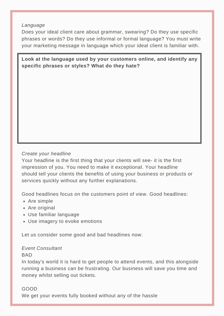#### *Language*

Does your ideal client care about grammar, swearing? Do they use specific phrases or words? Do they use informal or formal language? You must write your marketing message in language which your ideal client is familiar with.

**Look at the language used by your customers online, and identify any specific phrases or styles? What do they hate?**

#### *Create your headline*

Your headline is the first thing that your clients will see- it is the first impression of you. You need to make it exceptional. Your headline should tell your clients the benefits of using your business or products or services quickly without any further explanations.

Good headlines focus on the customers point of view. Good headlines:

- Are simple
- Are original
- Use familiar language
- Use imagery to evoke emotions

Let us consider some good and bad headlines now:

#### *Event Consultant*

#### **BAD**

In today's world it is hard to get people to attend events, and this alongside running a business can be frustrating. Our business will save you time and money whilst selling out tickets.

#### GOOD

We get your events fully booked without any of the hassle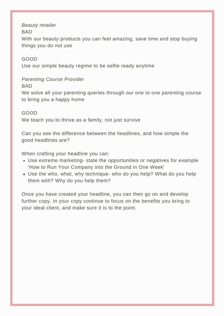#### *Beauty retailer*

BAD

With our beauty products you can feel amazing, save time and stop buying things you do not use

#### GOOD

Use our simple beauty regime to be selfie ready anytime

*Parenting Course Provider*

BAD

We solve all your parenting queries through our one to one parenting course to bring you a happy home

GOOD We teach you to thrive as a family, not just survive

Can you see the difference between the headlines, and how simple the good headlines are?

When crafting your headline you can:

- Use extreme marketing- state the opportunities or negatives for example 'How to Run Your Company into the Ground in One Week'
- Use the who, what, why technique- who do you help? What do you help them with? Why do you help them?

Once you have created your headline, you can then go on and develop further copy. In your copy continue to focus on the benefits you bring to your ideal client, and make sure it is to the point.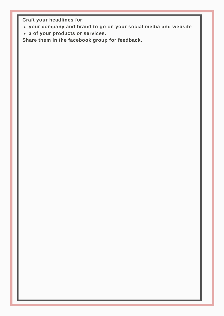**Craft your headlines for:**

- **your company and brand to go on your social media and website**
- **3 of your products or services.**

**Share them in the facebook group for feedback.**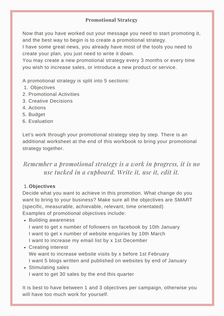# **Promotional Strategy**

Now that you have worked out your message you need to start promoting it, and the best way to begin is to create a promotional strategy.

I have some great news, you already have most of the tools you need to create your plan, you just need to write it down.

You may create a new promotional strategy every 3 months or every time you wish to increase sales, or introduce a new product or service.

A promotional strategy is split into 5 sections:

- 1. Objectives
- 2. Promotional Activities
- 3. Creative Decisions
- 4. Actions
- 5. Budget
- 6. Evaluation

Let's work through your promotional strategy step by step. There is an additional worksheet at the end of this workbook to bring your promotional strategy together.

*Remember a promotional strategy is a work in progress, it is no use tucked in a cupboard. Write it, use it, edit it.*

#### **Objectives** 1.

Decide what you want to achieve in this promotion. What change do you want to bring to your business? Make sure all the objectives are SMART (specific, measurable, achievable, relevant, time orientated) Examples of promotional objectives include:

• Building awareness I want to get x number of followers on facebook by 10th January I want to get x number of website enquiries by 10th March I want to increase my email list by x 1st December

# Creating interest We want to increase website visits by x before 1st February I want 5 blogs written and published on websites by end of January

• Stimulating sales I want to get 30 sales by the end this quarter

It is best to have between 1 and 3 objectives per campaign, otherwise you will have too much work for yourself.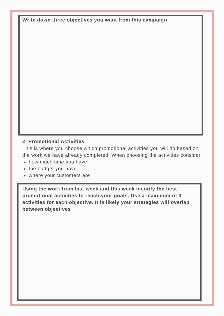**Write down three objectives you want from this campaign**

# **2. Promotional Activities**

This is where you choose which promotional activities you will do based on the work we have already completed. When choosing the activities consider

- how much time you have
- the budget you have
- where your customers are

**Using the work from last week and this week identify the best promotional activities to reach your goals. Use a maximum of 3 activities for each objective. It is likely your strategies will overlap between objectives**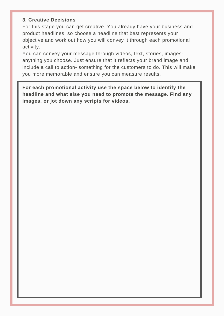#### **3. Creative Decisions**

For this stage you can get creative. You already have your business and product headlines, so choose a headline that best represents your objective and work out how you will convey it through each promotional activity.

You can convey your message through videos, text, stories, imagesanything you choose. Just ensure that it reflects your brand image and include a call to action- something for the customers to do. This will make you more memorable and ensure you can measure results.

**For each promotional activity use the space below to identify the headline and what else you need to promote the message. Find any images, or jot down any scripts for videos.**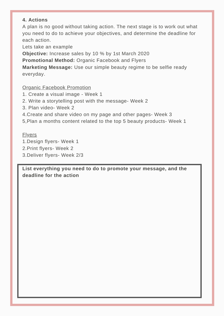# **4. Actions**

A plan is no good without taking action. The next stage is to work out what you need to do to achieve your objectives, and determine the deadline for each action.

Lets take an example

**Objective:** Increase sales by 10 % by 1st March 2020

**Promotional Method:** Organic Facebook and Flyers

**Marketing Message:** Use our simple beauty regime to be selfie ready everyday.

#### Organic Facebook Promotion

- 1. Create a visual image Week 1
- 2. Write a storytelling post with the message- Week 2
- 3. Plan video- Week 2
- 4.Create and share video on my page and other pages- Week 3
- 5,Plan a months content related to the top 5 beauty products- Week 1

# **Elyers**

- 1.Design flyers- Week 1
- 2.Print flyers- Week 2
- 3.Deliver flyers- Week 2/3

**List everything you need to do to promote your message, and the deadline for the action**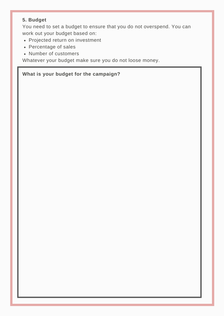# **5. Budget**

You need to set a budget to ensure that you do not overspend. You can work out your budget based on:

- Projected return on investment
- Percentage of sales
- Number of customers

Whatever your budget make sure you do not loose money.

# **What is your budget for the campaign?**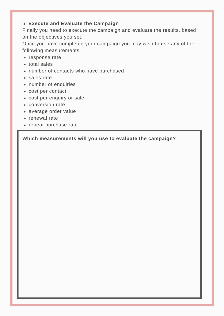#### 6. **Execute and Evaluate the Campaign**

Finally you need to execute the campaign and evaluate the results, based on the objectives you set.

Once you have completed your campaign you may wish to use any of the following measurements

- response rate
- total sales
- number of contacts who have purchased
- sales rate
- number of enquiries
- cost per contact
- cost per enquiry or sale
- conversion rate
- average order value
- renewal rate
- repeat purchase rate

**Which measurements will you use to evaluate the campaign?**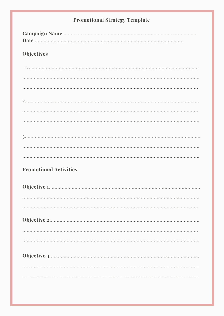| <b>Promotional Strategy Template</b> |
|--------------------------------------|
|                                      |
| <b>Objectives</b>                    |
|                                      |
|                                      |
|                                      |
|                                      |
|                                      |
|                                      |
|                                      |
|                                      |
|                                      |
| <b>Promotional Activities</b>        |
|                                      |
|                                      |
|                                      |
|                                      |
|                                      |
|                                      |
|                                      |
|                                      |
|                                      |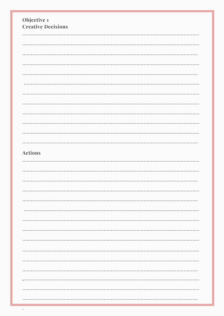| Objective 1<br><b>Creative Decisions</b> |
|------------------------------------------|
|                                          |
|                                          |
|                                          |
|                                          |
|                                          |
|                                          |
|                                          |
|                                          |
|                                          |
|                                          |
|                                          |
|                                          |
| <b>Actions</b>                           |
|                                          |
|                                          |
|                                          |
|                                          |
|                                          |
|                                          |
|                                          |
|                                          |
|                                          |
|                                          |
|                                          |
|                                          |
|                                          |
|                                          |
|                                          |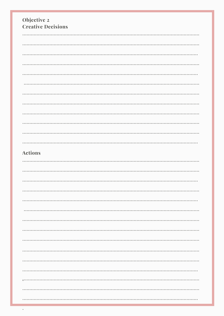| Objective 2<br><b>Creative Decisions</b> |
|------------------------------------------|
|                                          |
|                                          |
|                                          |
|                                          |
|                                          |
|                                          |
|                                          |
|                                          |
|                                          |
|                                          |
|                                          |
|                                          |
| <b>Actions</b>                           |
|                                          |
|                                          |
|                                          |
|                                          |
|                                          |
|                                          |
|                                          |
|                                          |
|                                          |
|                                          |
|                                          |
|                                          |
|                                          |
|                                          |
|                                          |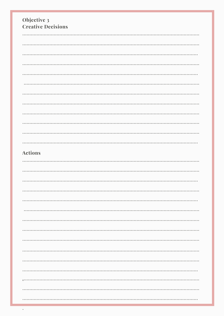| Objective 3<br><b>Creative Decisions</b> |
|------------------------------------------|
|                                          |
|                                          |
|                                          |
|                                          |
|                                          |
|                                          |
|                                          |
|                                          |
|                                          |
|                                          |
|                                          |
|                                          |
|                                          |
| <b>Actions</b>                           |
|                                          |
|                                          |
|                                          |
|                                          |
|                                          |
|                                          |
|                                          |
|                                          |
|                                          |
|                                          |
|                                          |
|                                          |
|                                          |
|                                          |
|                                          |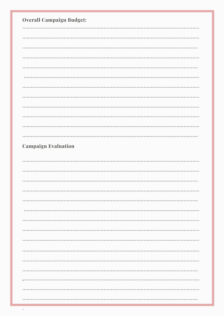| <b>Overall Campaign Budget:</b> |
|---------------------------------|
|                                 |
|                                 |
|                                 |
|                                 |
|                                 |
|                                 |
|                                 |
|                                 |
|                                 |
|                                 |
|                                 |
|                                 |
| <b>Campaign Evaluation</b>      |
|                                 |
|                                 |
|                                 |
|                                 |
|                                 |
|                                 |
|                                 |
|                                 |
|                                 |
|                                 |
|                                 |
|                                 |
|                                 |
|                                 |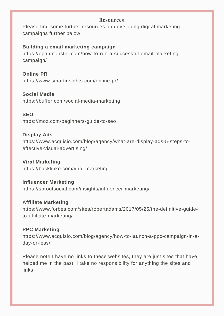#### **Resources**

Please find some further resources on developing digital marketing campaigns further below.

#### **Building a email marketing campaign**

https://optinmonster.com/how-to-run-a-successful-email-marketingcampaign/

**Online PR** https://www.smartinsights.com/online-pr/

**Social Media**

https://buffer.com/social-media-marketing

**SEO**

https://moz.com/beginners-guide-to-seo

**Display Ads**

https://www.acquisio.com/blog/agency/what-are-display-ads-5-steps-toeffective-visual-advertising/

**Viral Marketing** https://backlinko.com/viral-marketing

**Influencer Marketing** https://sproutsocial.com/insights/influencer-marketing/

**Affiliate Marketing** https://www.forbes.com/sites/robertadams/2017/05/25/the-definitive-guideto-affiliate-marketing/

#### **PPC Marketing**

https://www.acquisio.com/blog/agency/how-to-launch-a-ppc-campaign-in-aday-or-less/

Please note I have no links to these websites, they are just sites that have helped me in the past. I take no responsibility for anything the sites and links